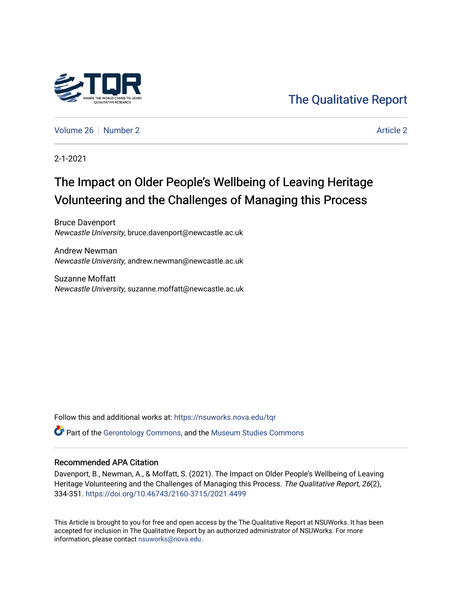

## [The Qualitative Report](https://nsuworks.nova.edu/tqr)

[Volume 26](https://nsuworks.nova.edu/tqr/vol26) [Number 2](https://nsuworks.nova.edu/tqr/vol26/iss2) [Article 2](https://nsuworks.nova.edu/tqr/vol26/iss2/2) Article 2 Article 2 Article 2 Article 2 Article 2 Article 2

2-1-2021

# The Impact on Older People's Wellbeing of Leaving Heritage Volunteering and the Challenges of Managing this Process

Bruce Davenport Newcastle University, bruce.davenport@newcastle.ac.uk

Andrew Newman Newcastle University, andrew.newman@newcastle.ac.uk

Suzanne Moffatt Newcastle University, suzanne.moffatt@newcastle.ac.uk

Follow this and additional works at: [https://nsuworks.nova.edu/tqr](https://nsuworks.nova.edu/tqr?utm_source=nsuworks.nova.edu%2Ftqr%2Fvol26%2Fiss2%2F2&utm_medium=PDF&utm_campaign=PDFCoverPages) 

**C** Part of the [Gerontology Commons,](http://network.bepress.com/hgg/discipline/1276?utm_source=nsuworks.nova.edu%2Ftqr%2Fvol26%2Fiss2%2F2&utm_medium=PDF&utm_campaign=PDFCoverPages) and the [Museum Studies Commons](http://network.bepress.com/hgg/discipline/1366?utm_source=nsuworks.nova.edu%2Ftqr%2Fvol26%2Fiss2%2F2&utm_medium=PDF&utm_campaign=PDFCoverPages)

#### Recommended APA Citation

Davenport, B., Newman, A., & Moffatt, S. (2021). The Impact on Older People's Wellbeing of Leaving Heritage Volunteering and the Challenges of Managing this Process. The Qualitative Report, 26(2), 334-351. <https://doi.org/10.46743/2160-3715/2021.4499>

This Article is brought to you for free and open access by the The Qualitative Report at NSUWorks. It has been accepted for inclusion in The Qualitative Report by an authorized administrator of NSUWorks. For more information, please contact [nsuworks@nova.edu.](mailto:nsuworks@nova.edu)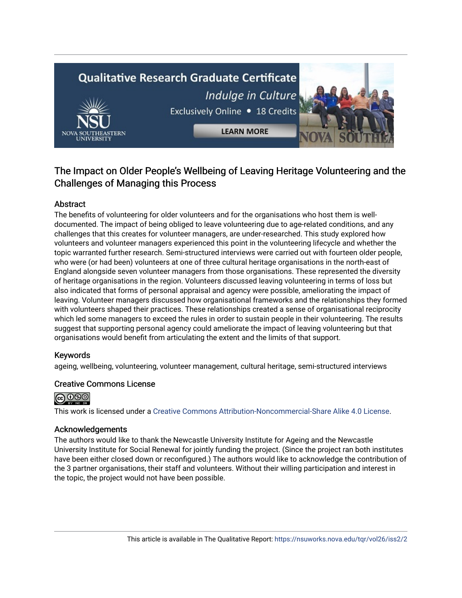# **Qualitative Research Graduate Certificate** Indulge in Culture Exclusively Online . 18 Credits



**LEARN MORE** 

## The Impact on Older People's Wellbeing of Leaving Heritage Volunteering and the Challenges of Managing this Process

## Abstract

The benefits of volunteering for older volunteers and for the organisations who host them is welldocumented. The impact of being obliged to leave volunteering due to age-related conditions, and any challenges that this creates for volunteer managers, are under-researched. This study explored how volunteers and volunteer managers experienced this point in the volunteering lifecycle and whether the topic warranted further research. Semi-structured interviews were carried out with fourteen older people, who were (or had been) volunteers at one of three cultural heritage organisations in the north-east of England alongside seven volunteer managers from those organisations. These represented the diversity of heritage organisations in the region. Volunteers discussed leaving volunteering in terms of loss but also indicated that forms of personal appraisal and agency were possible, ameliorating the impact of leaving. Volunteer managers discussed how organisational frameworks and the relationships they formed with volunteers shaped their practices. These relationships created a sense of organisational reciprocity which led some managers to exceed the rules in order to sustain people in their volunteering. The results suggest that supporting personal agency could ameliorate the impact of leaving volunteering but that organisations would benefit from articulating the extent and the limits of that support.

## Keywords

ageing, wellbeing, volunteering, volunteer management, cultural heritage, semi-structured interviews

## Creative Commons License



This work is licensed under a [Creative Commons Attribution-Noncommercial-Share Alike 4.0 License](https://creativecommons.org/licenses/by-nc-sa/4.0/).

## Acknowledgements

The authors would like to thank the Newcastle University Institute for Ageing and the Newcastle University Institute for Social Renewal for jointly funding the project. (Since the project ran both institutes have been either closed down or reconfigured.) The authors would like to acknowledge the contribution of the 3 partner organisations, their staff and volunteers. Without their willing participation and interest in the topic, the project would not have been possible.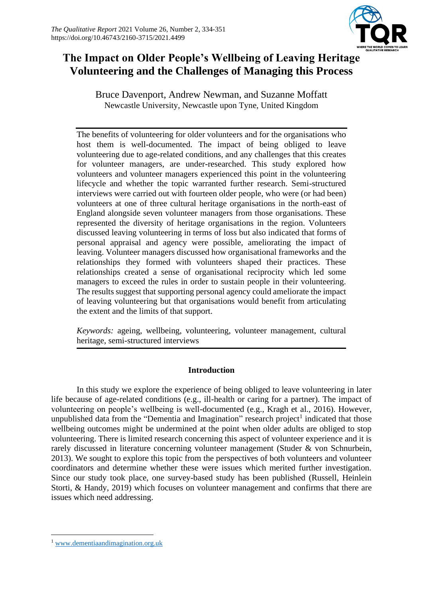

## **The Impact on Older People's Wellbeing of Leaving Heritage Volunteering and the Challenges of Managing this Process**

Bruce Davenport, Andrew Newman, and Suzanne Moffatt Newcastle University, Newcastle upon Tyne, United Kingdom

The benefits of volunteering for older volunteers and for the organisations who host them is well-documented. The impact of being obliged to leave volunteering due to age-related conditions, and any challenges that this creates for volunteer managers, are under-researched. This study explored how volunteers and volunteer managers experienced this point in the volunteering lifecycle and whether the topic warranted further research. Semi-structured interviews were carried out with fourteen older people, who were (or had been) volunteers at one of three cultural heritage organisations in the north-east of England alongside seven volunteer managers from those organisations. These represented the diversity of heritage organisations in the region. Volunteers discussed leaving volunteering in terms of loss but also indicated that forms of personal appraisal and agency were possible, ameliorating the impact of leaving. Volunteer managers discussed how organisational frameworks and the relationships they formed with volunteers shaped their practices. These relationships created a sense of organisational reciprocity which led some managers to exceed the rules in order to sustain people in their volunteering. The results suggest that supporting personal agency could ameliorate the impact of leaving volunteering but that organisations would benefit from articulating the extent and the limits of that support.

*Keywords:* ageing, wellbeing, volunteering, volunteer management, cultural heritage, semi-structured interviews

## **Introduction**

In this study we explore the experience of being obliged to leave volunteering in later life because of age-related conditions (e.g., ill-health or caring for a partner). The impact of volunteering on people's wellbeing is well-documented (e.g., Kragh et al., 2016). However, unpublished data from the "Dementia and Imagination" research project<sup>1</sup> indicated that those wellbeing outcomes might be undermined at the point when older adults are obliged to stop volunteering. There is limited research concerning this aspect of volunteer experience and it is rarely discussed in literature concerning volunteer management (Studer & von Schnurbein, 2013). We sought to explore this topic from the perspectives of both volunteers and volunteer coordinators and determine whether these were issues which merited further investigation. Since our study took place, one survey-based study has been published (Russell, Heinlein Storti, & Handy, 2019) which focuses on volunteer management and confirms that there are issues which need addressing.

<sup>1</sup> [www.dementiaandimagination.org.uk](http://www.dementiaandimagination.org.uk/)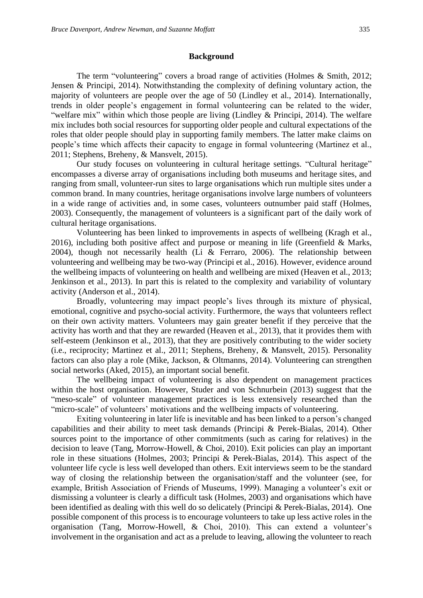#### **Background**

The term "volunteering" covers a broad range of activities (Holmes & Smith, 2012; Jensen & Principi, 2014). Notwithstanding the complexity of defining voluntary action, the majority of volunteers are people over the age of 50 (Lindley et al., 2014). Internationally, trends in older people's engagement in formal volunteering can be related to the wider, "welfare mix" within which those people are living (Lindley & Principi, 2014). The welfare mix includes both social resources for supporting older people and cultural expectations of the roles that older people should play in supporting family members. The latter make claims on people's time which affects their capacity to engage in formal volunteering (Martinez et al., 2011; Stephens, Breheny, & Mansvelt, 2015).

Our study focuses on volunteering in cultural heritage settings. "Cultural heritage" encompasses a diverse array of organisations including both museums and heritage sites, and ranging from small, volunteer-run sites to large organisations which run multiple sites under a common brand. In many countries, heritage organisations involve large numbers of volunteers in a wide range of activities and, in some cases, volunteers outnumber paid staff (Holmes, 2003). Consequently, the management of volunteers is a significant part of the daily work of cultural heritage organisations.

Volunteering has been linked to improvements in aspects of wellbeing (Kragh et al., 2016), including both positive affect and purpose or meaning in life (Greenfield & Marks, 2004), though not necessarily health (Li & Ferraro, 2006). The relationship between volunteering and wellbeing may be two-way (Principi et al., 2016). However, evidence around the wellbeing impacts of volunteering on health and wellbeing are mixed (Heaven et al., 2013; Jenkinson et al., 2013). In part this is related to the complexity and variability of voluntary activity (Anderson et al., 2014).

Broadly, volunteering may impact people's lives through its mixture of physical, emotional, cognitive and psycho-social activity. Furthermore, the ways that volunteers reflect on their own activity matters. Volunteers may gain greater benefit if they perceive that the activity has worth and that they are rewarded (Heaven et al., 2013), that it provides them with self-esteem (Jenkinson et al., 2013), that they are positively contributing to the wider society (i.e., reciprocity; Martinez et al., 2011; Stephens, Breheny, & Mansvelt, 2015). Personality factors can also play a role (Mike, Jackson, & Oltmanns, 2014). Volunteering can strengthen social networks (Aked, 2015), an important social benefit.

The wellbeing impact of volunteering is also dependent on management practices within the host organisation. However, Studer and von Schnurbein (2013) suggest that the "meso-scale" of volunteer management practices is less extensively researched than the "micro-scale" of volunteers' motivations and the wellbeing impacts of volunteering.

Exiting volunteering in later life is inevitable and has been linked to a person's changed capabilities and their ability to meet task demands (Principi & Perek-Bialas, 2014). Other sources point to the importance of other commitments (such as caring for relatives) in the decision to leave (Tang, Morrow-Howell, & Choi, 2010). Exit policies can play an important role in these situations (Holmes, 2003; Principi & Perek-Bialas, 2014). This aspect of the volunteer life cycle is less well developed than others. Exit interviews seem to be the standard way of closing the relationship between the organisation/staff and the volunteer (see, for example, British Association of Friends of Museums, 1999). Managing a volunteer's exit or dismissing a volunteer is clearly a difficult task (Holmes, 2003) and organisations which have been identified as dealing with this well do so delicately (Principi & Perek-Bialas, 2014). One possible component of this process is to encourage volunteers to take up less active roles in the organisation (Tang, Morrow-Howell, & Choi, 2010). This can extend a volunteer's involvement in the organisation and act as a prelude to leaving, allowing the volunteer to reach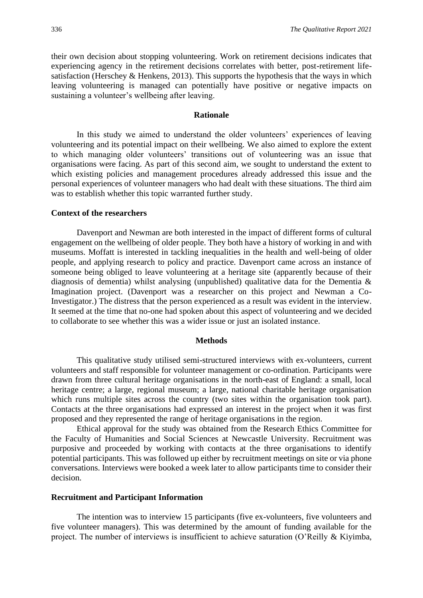their own decision about stopping volunteering. Work on retirement decisions indicates that experiencing agency in the retirement decisions correlates with better, post-retirement lifesatisfaction (Herschey & Henkens, 2013). This supports the hypothesis that the ways in which leaving volunteering is managed can potentially have positive or negative impacts on sustaining a volunteer's wellbeing after leaving.

#### **Rationale**

In this study we aimed to understand the older volunteers' experiences of leaving volunteering and its potential impact on their wellbeing. We also aimed to explore the extent to which managing older volunteers' transitions out of volunteering was an issue that organisations were facing. As part of this second aim, we sought to understand the extent to which existing policies and management procedures already addressed this issue and the personal experiences of volunteer managers who had dealt with these situations. The third aim was to establish whether this topic warranted further study.

#### **Context of the researchers**

Davenport and Newman are both interested in the impact of different forms of cultural engagement on the wellbeing of older people. They both have a history of working in and with museums. Moffatt is interested in tackling inequalities in the health and well-being of older people, and applying research to policy and practice. Davenport came across an instance of someone being obliged to leave volunteering at a heritage site (apparently because of their diagnosis of dementia) whilst analysing (unpublished) qualitative data for the Dementia & Imagination project. (Davenport was a researcher on this project and Newman a Co-Investigator.) The distress that the person experienced as a result was evident in the interview. It seemed at the time that no-one had spoken about this aspect of volunteering and we decided to collaborate to see whether this was a wider issue or just an isolated instance.

#### **Methods**

This qualitative study utilised semi-structured interviews with ex-volunteers, current volunteers and staff responsible for volunteer management or co-ordination. Participants were drawn from three cultural heritage organisations in the north-east of England: a small, local heritage centre; a large, regional museum; a large, national charitable heritage organisation which runs multiple sites across the country (two sites within the organisation took part). Contacts at the three organisations had expressed an interest in the project when it was first proposed and they represented the range of heritage organisations in the region.

Ethical approval for the study was obtained from the Research Ethics Committee for the Faculty of Humanities and Social Sciences at Newcastle University. Recruitment was purposive and proceeded by working with contacts at the three organisations to identify potential participants. This was followed up either by recruitment meetings on site or via phone conversations. Interviews were booked a week later to allow participants time to consider their decision.

#### **Recruitment and Participant Information**

The intention was to interview 15 participants (five ex-volunteers, five volunteers and five volunteer managers). This was determined by the amount of funding available for the project. The number of interviews is insufficient to achieve saturation (O'Reilly & Kiyimba,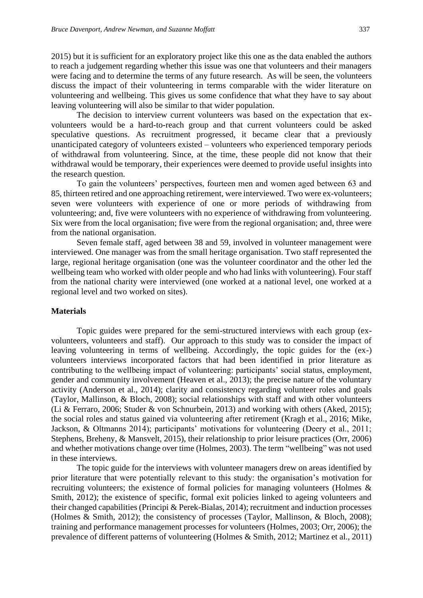2015) but it is sufficient for an exploratory project like this one as the data enabled the authors to reach a judgement regarding whether this issue was one that volunteers and their managers were facing and to determine the terms of any future research. As will be seen, the volunteers discuss the impact of their volunteering in terms comparable with the wider literature on volunteering and wellbeing. This gives us some confidence that what they have to say about leaving volunteering will also be similar to that wider population.

The decision to interview current volunteers was based on the expectation that exvolunteers would be a hard-to-reach group and that current volunteers could be asked speculative questions. As recruitment progressed, it became clear that a previously unanticipated category of volunteers existed – volunteers who experienced temporary periods of withdrawal from volunteering. Since, at the time, these people did not know that their withdrawal would be temporary, their experiences were deemed to provide useful insights into the research question.

To gain the volunteers' perspectives, fourteen men and women aged between 63 and 85, thirteen retired and one approaching retirement, were interviewed. Two were ex-volunteers; seven were volunteers with experience of one or more periods of withdrawing from volunteering; and, five were volunteers with no experience of withdrawing from volunteering. Six were from the local organisation; five were from the regional organisation; and, three were from the national organisation.

Seven female staff, aged between 38 and 59, involved in volunteer management were interviewed. One manager was from the small heritage organisation. Two staff represented the large, regional heritage organisation (one was the volunteer coordinator and the other led the wellbeing team who worked with older people and who had links with volunteering). Four staff from the national charity were interviewed (one worked at a national level, one worked at a regional level and two worked on sites).

#### **Materials**

Topic guides were prepared for the semi-structured interviews with each group (exvolunteers, volunteers and staff). Our approach to this study was to consider the impact of leaving volunteering in terms of wellbeing. Accordingly, the topic guides for the (ex-) volunteers interviews incorporated factors that had been identified in prior literature as contributing to the wellbeing impact of volunteering: participants' social status, employment, gender and community involvement (Heaven et al., 2013); the precise nature of the voluntary activity (Anderson et al., 2014); clarity and consistency regarding volunteer roles and goals (Taylor, Mallinson, & Bloch, 2008); social relationships with staff and with other volunteers (Li & Ferraro, 2006; Studer & von Schnurbein, 2013) and working with others (Aked, 2015); the social roles and status gained via volunteering after retirement (Kragh et al., 2016; Mike, Jackson, & Oltmanns 2014); participants' motivations for volunteering (Deery et al., 2011; Stephens, Breheny, & Mansvelt, 2015), their relationship to prior leisure practices (Orr, 2006) and whether motivations change over time (Holmes, 2003). The term "wellbeing" was not used in these interviews.

The topic guide for the interviews with volunteer managers drew on areas identified by prior literature that were potentially relevant to this study: the organisation's motivation for recruiting volunteers; the existence of formal policies for managing volunteers (Holmes & Smith, 2012); the existence of specific, formal exit policies linked to ageing volunteers and their changed capabilities (Principi & Perek-Bialas, 2014); recruitment and induction processes (Holmes & Smith, 2012); the consistency of processes (Taylor, Mallinson, & Bloch, 2008); training and performance management processes for volunteers (Holmes, 2003; Orr, 2006); the prevalence of different patterns of volunteering (Holmes & Smith, 2012; Martinez et al., 2011)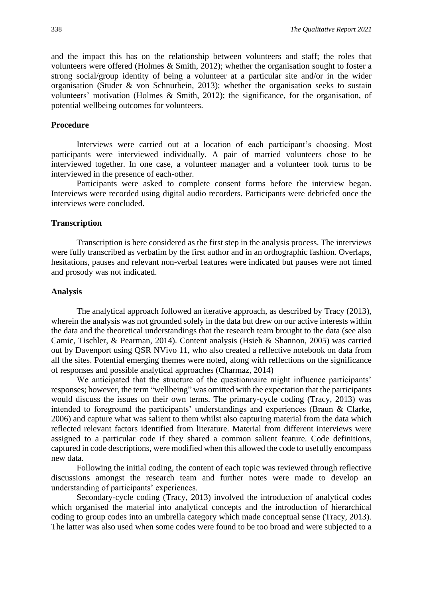and the impact this has on the relationship between volunteers and staff; the roles that volunteers were offered (Holmes & Smith, 2012); whether the organisation sought to foster a strong social/group identity of being a volunteer at a particular site and/or in the wider organisation (Studer & von Schnurbein, 2013); whether the organisation seeks to sustain volunteers' motivation (Holmes & Smith, 2012); the significance, for the organisation, of potential wellbeing outcomes for volunteers.

#### **Procedure**

Interviews were carried out at a location of each participant's choosing. Most participants were interviewed individually. A pair of married volunteers chose to be interviewed together. In one case, a volunteer manager and a volunteer took turns to be interviewed in the presence of each-other.

Participants were asked to complete consent forms before the interview began. Interviews were recorded using digital audio recorders. Participants were debriefed once the interviews were concluded.

#### **Transcription**

Transcription is here considered as the first step in the analysis process. The interviews were fully transcribed as verbatim by the first author and in an orthographic fashion. Overlaps, hesitations, pauses and relevant non-verbal features were indicated but pauses were not timed and prosody was not indicated.

#### **Analysis**

The analytical approach followed an iterative approach, as described by Tracy (2013), wherein the analysis was not grounded solely in the data but drew on our active interests within the data and the theoretical understandings that the research team brought to the data (see also Camic, Tischler, & Pearman, 2014). Content analysis (Hsieh & Shannon, 2005) was carried out by Davenport using QSR NVivo 11, who also created a reflective notebook on data from all the sites. Potential emerging themes were noted, along with reflections on the significance of responses and possible analytical approaches (Charmaz, 2014)

We anticipated that the structure of the questionnaire might influence participants' responses; however, the term "wellbeing" was omitted with the expectation that the participants would discuss the issues on their own terms. The primary-cycle coding (Tracy, 2013) was intended to foreground the participants' understandings and experiences (Braun & Clarke, 2006) and capture what was salient to them whilst also capturing material from the data which reflected relevant factors identified from literature. Material from different interviews were assigned to a particular code if they shared a common salient feature. Code definitions, captured in code descriptions, were modified when this allowed the code to usefully encompass new data.

Following the initial coding, the content of each topic was reviewed through reflective discussions amongst the research team and further notes were made to develop an understanding of participants' experiences.

Secondary-cycle coding (Tracy, 2013) involved the introduction of analytical codes which organised the material into analytical concepts and the introduction of hierarchical coding to group codes into an umbrella category which made conceptual sense (Tracy, 2013). The latter was also used when some codes were found to be too broad and were subjected to a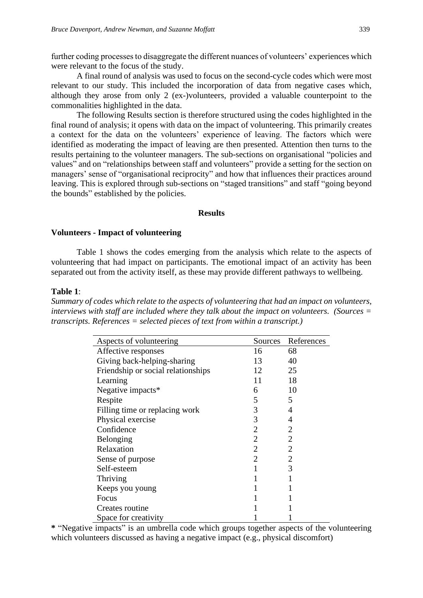further coding processes to disaggregate the different nuances of volunteers' experiences which were relevant to the focus of the study.

A final round of analysis was used to focus on the second-cycle codes which were most relevant to our study. This included the incorporation of data from negative cases which, although they arose from only 2 (ex-)volunteers, provided a valuable counterpoint to the commonalities highlighted in the data.

The following Results section is therefore structured using the codes highlighted in the final round of analysis; it opens with data on the impact of volunteering. This primarily creates a context for the data on the volunteers' experience of leaving. The factors which were identified as moderating the impact of leaving are then presented. Attention then turns to the results pertaining to the volunteer managers. The sub-sections on organisational "policies and values" and on "relationships between staff and volunteers" provide a setting for the section on managers' sense of "organisational reciprocity" and how that influences their practices around leaving. This is explored through sub-sections on "staged transitions" and staff "going beyond the bounds" established by the policies.

#### **Results**

#### **Volunteers - Impact of volunteering**

Table 1 shows the codes emerging from the analysis which relate to the aspects of volunteering that had impact on participants. The emotional impact of an activity has been separated out from the activity itself, as these may provide different pathways to wellbeing.

#### **Table 1**:

*Summary of codes which relate to the aspects of volunteering that had an impact on volunteers, interviews with staff are included where they talk about the impact on volunteers. (Sources = transcripts. References = selected pieces of text from within a transcript.)*

| Aspects of volunteering            | Sources        | References     |
|------------------------------------|----------------|----------------|
| Affective responses                | 16             | 68             |
| Giving back-helping-sharing        | 13             | 40             |
| Friendship or social relationships | 12             | 25             |
| Learning                           | 11             | 18             |
| Negative impacts*                  | 6              | 10             |
| Respite                            | 5              | 5              |
| Filling time or replacing work     | 3              | 4              |
| Physical exercise                  | 3              | 4              |
| Confidence                         | $\overline{2}$ | 2              |
| Belonging                          | 2              | $\overline{2}$ |
| Relaxation                         | 2              | $\overline{2}$ |
| Sense of purpose                   | 2              | $\overline{2}$ |
| Self-esteem                        |                | 3              |
| Thriving                           |                |                |
| Keeps you young                    |                |                |
| Focus                              |                |                |
| Creates routine                    |                |                |
| Space for creativity               |                |                |

**\*** "Negative impacts" is an umbrella code which groups together aspects of the volunteering which volunteers discussed as having a negative impact (e.g., physical discomfort)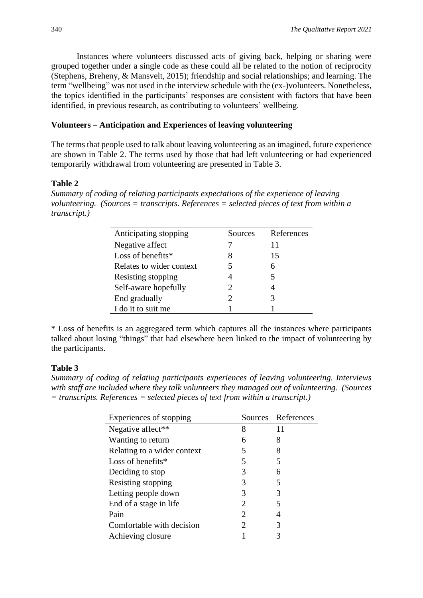Instances where volunteers discussed acts of giving back, helping or sharing were grouped together under a single code as these could all be related to the notion of reciprocity (Stephens, Breheny, & Mansvelt, 2015); friendship and social relationships; and learning. The term "wellbeing" was not used in the interview schedule with the (ex-)volunteers. Nonetheless, the topics identified in the participants' responses are consistent with factors that have been identified, in previous research, as contributing to volunteers' wellbeing.

### **Volunteers – Anticipation and Experiences of leaving volunteering**

The terms that people used to talk about leaving volunteering as an imagined, future experience are shown in Table 2. The terms used by those that had left volunteering or had experienced temporarily withdrawal from volunteering are presented in Table 3.

### **Table 2**

*Summary of coding of relating participants expectations of the experience of leaving volunteering. (Sources = transcripts. References = selected pieces of text from within a transcript.)*

| Anticipating stopping    | Sources               | References |
|--------------------------|-----------------------|------------|
| Negative affect          |                       | 11         |
| Loss of benefits $*$     | 8                     | 15         |
| Relates to wider context | 5                     | 6          |
| Resisting stopping       |                       | 5          |
| Self-aware hopefully     | $\mathcal{D}_{\cdot}$ |            |
| End gradually            | 2                     | 3          |
| I do it to suit me       |                       |            |

\* Loss of benefits is an aggregated term which captures all the instances where participants talked about losing "things" that had elsewhere been linked to the impact of volunteering by the participants.

### **Table 3**

*Summary of coding of relating participants experiences of leaving volunteering. Interviews with staff are included where they talk volunteers they managed out of volunteering. (Sources = transcripts. References = selected pieces of text from within a transcript.)*

| Experiences of stopping     |   | Sources References |
|-----------------------------|---|--------------------|
| Negative affect**           | 8 | 11                 |
| Wanting to return           | 6 | 8                  |
| Relating to a wider context | 5 | 8                  |
| Loss of benefits $*$        | 5 | 5                  |
| Deciding to stop            | 3 | 6                  |
| Resisting stopping          | 3 | 5                  |
| Letting people down         | 3 | 3                  |
| End of a stage in life      | 2 |                    |
| Pain                        | 2 |                    |
| Comfortable with decision   | 2 | 3                  |
| Achieving closure           |   |                    |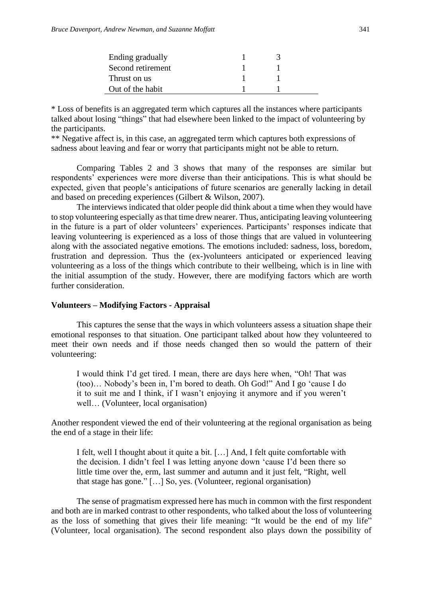| Ending gradually  |  |
|-------------------|--|
| Second retirement |  |
| Thrust on us      |  |
| Out of the habit  |  |

\* Loss of benefits is an aggregated term which captures all the instances where participants talked about losing "things" that had elsewhere been linked to the impact of volunteering by the participants.

\*\* Negative affect is, in this case, an aggregated term which captures both expressions of sadness about leaving and fear or worry that participants might not be able to return.

Comparing Tables 2 and 3 shows that many of the responses are similar but respondents' experiences were more diverse than their anticipations. This is what should be expected, given that people's anticipations of future scenarios are generally lacking in detail and based on preceding experiences (Gilbert & Wilson, 2007).

The interviews indicated that older people did think about a time when they would have to stop volunteering especially as that time drew nearer. Thus, anticipating leaving volunteering in the future is a part of older volunteers' experiences. Participants' responses indicate that leaving volunteering is experienced as a loss of those things that are valued in volunteering along with the associated negative emotions. The emotions included: sadness, loss, boredom, frustration and depression. Thus the (ex-)volunteers anticipated or experienced leaving volunteering as a loss of the things which contribute to their wellbeing, which is in line with the initial assumption of the study. However, there are modifying factors which are worth further consideration.

#### **Volunteers – Modifying Factors - Appraisal**

This captures the sense that the ways in which volunteers assess a situation shape their emotional responses to that situation. One participant talked about how they volunteered to meet their own needs and if those needs changed then so would the pattern of their volunteering:

I would think I'd get tired. I mean, there are days here when, "Oh! That was (too)… Nobody's been in, I'm bored to death. Oh God!" And I go 'cause I do it to suit me and I think, if I wasn't enjoying it anymore and if you weren't well… (Volunteer, local organisation)

Another respondent viewed the end of their volunteering at the regional organisation as being the end of a stage in their life:

I felt, well I thought about it quite a bit. […] And, I felt quite comfortable with the decision. I didn't feel I was letting anyone down 'cause I'd been there so little time over the, erm, last summer and autumn and it just felt, "Right, well that stage has gone." […] So, yes. (Volunteer, regional organisation)

The sense of pragmatism expressed here has much in common with the first respondent and both are in marked contrast to other respondents, who talked about the loss of volunteering as the loss of something that gives their life meaning: "It would be the end of my life" (Volunteer, local organisation). The second respondent also plays down the possibility of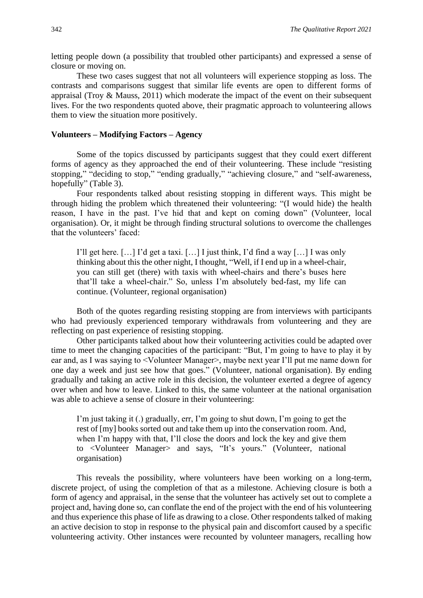letting people down (a possibility that troubled other participants) and expressed a sense of closure or moving on.

These two cases suggest that not all volunteers will experience stopping as loss. The contrasts and comparisons suggest that similar life events are open to different forms of appraisal (Troy & Mauss, 2011) which moderate the impact of the event on their subsequent lives. For the two respondents quoted above, their pragmatic approach to volunteering allows them to view the situation more positively.

#### **Volunteers – Modifying Factors – Agency**

Some of the topics discussed by participants suggest that they could exert different forms of agency as they approached the end of their volunteering. These include "resisting stopping," "deciding to stop," "ending gradually," "achieving closure," and "self-awareness, hopefully" (Table 3).

Four respondents talked about resisting stopping in different ways. This might be through hiding the problem which threatened their volunteering: "(I would hide) the health reason, I have in the past. I've hid that and kept on coming down" (Volunteer, local organisation). Or, it might be through finding structural solutions to overcome the challenges that the volunteers' faced:

I'll get here.  $[\dots]$  I'd get a taxi.  $[\dots]$  I just think, I'd find a way  $[\dots]$  I was only thinking about this the other night, I thought, "Well, if I end up in a wheel-chair, you can still get (there) with taxis with wheel-chairs and there's buses here that'll take a wheel-chair." So, unless I'm absolutely bed-fast, my life can continue. (Volunteer, regional organisation)

Both of the quotes regarding resisting stopping are from interviews with participants who had previously experienced temporary withdrawals from volunteering and they are reflecting on past experience of resisting stopping.

Other participants talked about how their volunteering activities could be adapted over time to meet the changing capacities of the participant: "But, I'm going to have to play it by ear and, as I was saying to <Volunteer Manager>, maybe next year I'll put me name down for one day a week and just see how that goes." (Volunteer, national organisation). By ending gradually and taking an active role in this decision, the volunteer exerted a degree of agency over when and how to leave. Linked to this, the same volunteer at the national organisation was able to achieve a sense of closure in their volunteering:

I'm just taking it (.) gradually, err, I'm going to shut down, I'm going to get the rest of [my] books sorted out and take them up into the conservation room. And, when I'm happy with that, I'll close the doors and lock the key and give them to <Volunteer Manager> and says, "It's yours." (Volunteer, national organisation)

This reveals the possibility, where volunteers have been working on a long-term, discrete project, of using the completion of that as a milestone. Achieving closure is both a form of agency and appraisal, in the sense that the volunteer has actively set out to complete a project and, having done so, can conflate the end of the project with the end of his volunteering and thus experience this phase of life as drawing to a close. Other respondents talked of making an active decision to stop in response to the physical pain and discomfort caused by a specific volunteering activity. Other instances were recounted by volunteer managers, recalling how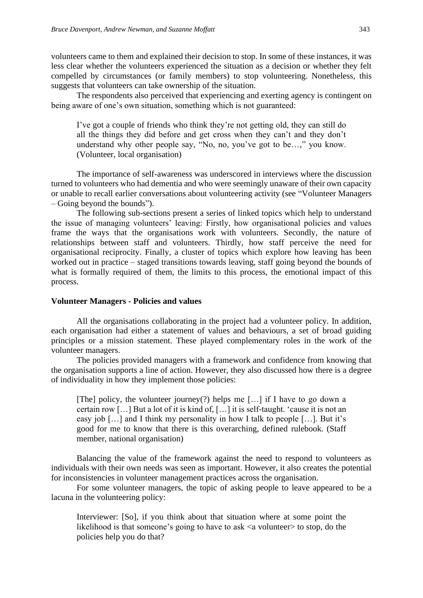volunteers came to them and explained their decision to stop. In some of these instances, it was less clear whether the volunteers experienced the situation as a decision or whether they felt compelled by circumstances (or family members) to stop volunteering. Nonetheless, this suggests that volunteers can take ownership of the situation.

The respondents also perceived that experiencing and exerting agency is contingent on being aware of one's own situation, something which is not guaranteed:

I've got a couple of friends who think they're not getting old, they can still do all the things they did before and get cross when they can't and they don't understand why other people say, "No, no, you've got to be…," you know. (Volunteer, local organisation)

The importance of self-awareness was underscored in interviews where the discussion turned to volunteers who had dementia and who were seemingly unaware of their own capacity or unable to recall earlier conversations about volunteering activity (see "Volunteer Managers – Going beyond the bounds").

The following sub-sections present a series of linked topics which help to understand the issue of managing volunteers' leaving: Firstly, how organisational policies and values frame the ways that the organisations work with volunteers. Secondly, the nature of relationships between staff and volunteers. Thirdly, how staff perceive the need for organisational reciprocity. Finally, a cluster of topics which explore how leaving has been worked out in practice – staged transitions towards leaving, staff going beyond the bounds of what is formally required of them, the limits to this process, the emotional impact of this process.

#### **Volunteer Managers - Policies and values**

All the organisations collaborating in the project had a volunteer policy. In addition, each organisation had either a statement of values and behaviours, a set of broad guiding principles or a mission statement. These played complementary roles in the work of the volunteer managers.

The policies provided managers with a framework and confidence from knowing that the organisation supports a line of action. However, they also discussed how there is a degree of individuality in how they implement those policies:

[The] policy, the volunteer journey(?) helps me […] if I have to go down a certain row […] But a lot of it is kind of, […] it is self-taught. 'cause it is not an easy job […] and I think my personality in how I talk to people […]. But it's good for me to know that there is this overarching, defined rulebook. (Staff member, national organisation)

Balancing the value of the framework against the need to respond to volunteers as individuals with their own needs was seen as important. However, it also creates the potential for inconsistencies in volunteer management practices across the organisation.

For some volunteer managers, the topic of asking people to leave appeared to be a lacuna in the volunteering policy:

Interviewer: [So], if you think about that situation where at some point the likelihood is that someone's going to have to ask  $\leq a$  volunteer $>$  to stop, do the policies help you do that?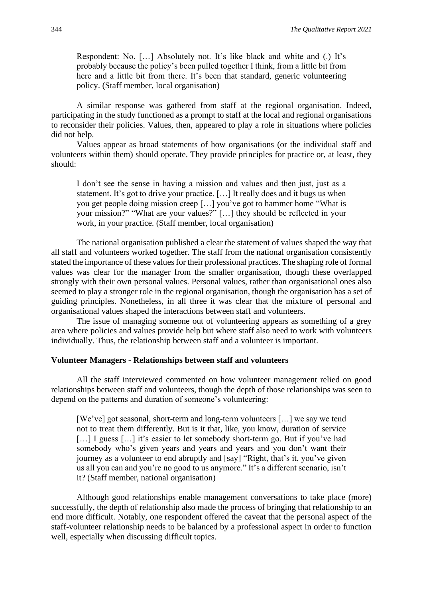Respondent: No. […] Absolutely not. It's like black and white and (.) It's probably because the policy's been pulled together I think, from a little bit from here and a little bit from there. It's been that standard, generic volunteering policy. (Staff member, local organisation)

A similar response was gathered from staff at the regional organisation. Indeed, participating in the study functioned as a prompt to staff at the local and regional organisations to reconsider their policies. Values, then, appeared to play a role in situations where policies did not help.

Values appear as broad statements of how organisations (or the individual staff and volunteers within them) should operate. They provide principles for practice or, at least, they should:

I don't see the sense in having a mission and values and then just, just as a statement. It's got to drive your practice. […] It really does and it bugs us when you get people doing mission creep […] you've got to hammer home "What is your mission?" "What are your values?" […] they should be reflected in your work, in your practice. (Staff member, local organisation)

The national organisation published a clear the statement of values shaped the way that all staff and volunteers worked together. The staff from the national organisation consistently stated the importance of these values for their professional practices. The shaping role of formal values was clear for the manager from the smaller organisation, though these overlapped strongly with their own personal values. Personal values, rather than organisational ones also seemed to play a stronger role in the regional organisation, though the organisation has a set of guiding principles. Nonetheless, in all three it was clear that the mixture of personal and organisational values shaped the interactions between staff and volunteers.

The issue of managing someone out of volunteering appears as something of a grey area where policies and values provide help but where staff also need to work with volunteers individually. Thus, the relationship between staff and a volunteer is important.

#### **Volunteer Managers - Relationships between staff and volunteers**

All the staff interviewed commented on how volunteer management relied on good relationships between staff and volunteers, though the depth of those relationships was seen to depend on the patterns and duration of someone's volunteering:

[We've] got seasonal, short-term and long-term volunteers [...] we say we tend not to treat them differently. But is it that, like, you know, duration of service [...] I guess [...] it's easier to let somebody short-term go. But if you've had somebody who's given years and years and years and you don't want their journey as a volunteer to end abruptly and [say] "Right, that's it, you've given us all you can and you're no good to us anymore." It's a different scenario, isn't it? (Staff member, national organisation)

Although good relationships enable management conversations to take place (more) successfully, the depth of relationship also made the process of bringing that relationship to an end more difficult. Notably, one respondent offered the caveat that the personal aspect of the staff-volunteer relationship needs to be balanced by a professional aspect in order to function well, especially when discussing difficult topics.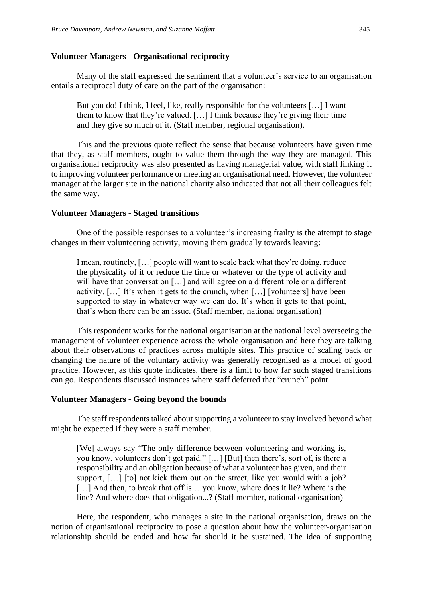#### **Volunteer Managers - Organisational reciprocity**

Many of the staff expressed the sentiment that a volunteer's service to an organisation entails a reciprocal duty of care on the part of the organisation:

But you do! I think, I feel, like, really responsible for the volunteers […] I want them to know that they're valued. […] I think because they're giving their time and they give so much of it. (Staff member, regional organisation).

This and the previous quote reflect the sense that because volunteers have given time that they, as staff members, ought to value them through the way they are managed. This organisational reciprocity was also presented as having managerial value, with staff linking it to improving volunteer performance or meeting an organisational need. However, the volunteer manager at the larger site in the national charity also indicated that not all their colleagues felt the same way.

#### **Volunteer Managers - Staged transitions**

One of the possible responses to a volunteer's increasing frailty is the attempt to stage changes in their volunteering activity, moving them gradually towards leaving:

I mean, routinely, […] people will want to scale back what they're doing, reduce the physicality of it or reduce the time or whatever or the type of activity and will have that conversation [...] and will agree on a different role or a different activity. […] It's when it gets to the crunch, when […] [volunteers] have been supported to stay in whatever way we can do. It's when it gets to that point, that's when there can be an issue. (Staff member, national organisation)

This respondent works for the national organisation at the national level overseeing the management of volunteer experience across the whole organisation and here they are talking about their observations of practices across multiple sites. This practice of scaling back or changing the nature of the voluntary activity was generally recognised as a model of good practice. However, as this quote indicates, there is a limit to how far such staged transitions can go. Respondents discussed instances where staff deferred that "crunch" point.

#### **Volunteer Managers - Going beyond the bounds**

The staff respondents talked about supporting a volunteer to stay involved beyond what might be expected if they were a staff member.

[We] always say "The only difference between volunteering and working is, you know, volunteers don't get paid." […] [But] then there's, sort of, is there a responsibility and an obligation because of what a volunteer has given, and their support, [...] [to] not kick them out on the street, like you would with a job? [...] And then, to break that off is... you know, where does it lie? Where is the line? And where does that obligation...? (Staff member, national organisation)

Here, the respondent, who manages a site in the national organisation, draws on the notion of organisational reciprocity to pose a question about how the volunteer-organisation relationship should be ended and how far should it be sustained. The idea of supporting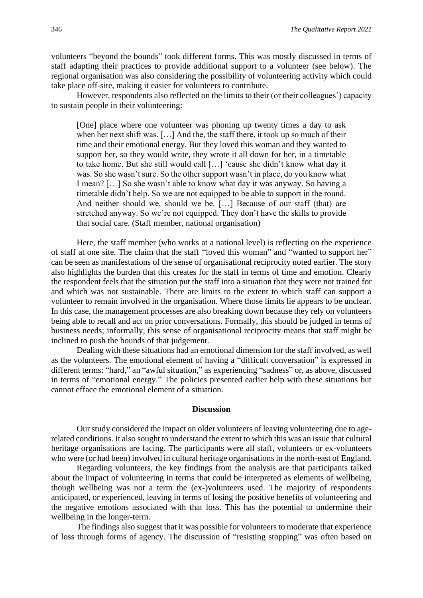volunteers "beyond the bounds" took different forms. This was mostly discussed in terms of staff adapting their practices to provide additional support to a volunteer (see below). The regional organisation was also considering the possibility of volunteering activity which could take place off-site, making it easier for volunteers to contribute.

However, respondents also reflected on the limits to their (or their colleagues') capacity to sustain people in their volunteering:

[One] place where one volunteer was phoning up twenty times a day to ask when her next shift was. […] And the, the staff there, it took up so much of their time and their emotional energy. But they loved this woman and they wanted to support her, so they would write, they wrote it all down for her, in a timetable to take home. But she still would call […] 'cause she didn't know what day it was. So she wasn't sure. So the other support wasn't in place, do you know what I mean? […] So she wasn't able to know what day it was anyway. So having a timetable didn't help. So we are not equipped to be able to support in the round. And neither should we, should we be. […] Because of our staff (that) are stretched anyway. So we're not equipped. They don't have the skills to provide that social care. (Staff member, national organisation)

Here, the staff member (who works at a national level) is reflecting on the experience of staff at one site. The claim that the staff "loved this woman" and "wanted to support her" can be seen as manifestations of the sense of organisational reciprocity noted earlier. The story also highlights the burden that this creates for the staff in terms of time and emotion. Clearly the respondent feels that the situation put the staff into a situation that they were not trained for and which was not sustainable. There are limits to the extent to which staff can support a volunteer to remain involved in the organisation. Where those limits lie appears to be unclear. In this case, the management processes are also breaking down because they rely on volunteers being able to recall and act on prior conversations. Formally, this should be judged in terms of business needs; informally, this sense of organisational reciprocity means that staff might be inclined to push the bounds of that judgement.

Dealing with these situations had an emotional dimension for the staff involved, as well as the volunteers. The emotional element of having a "difficult conversation" is expressed in different terms: "hard," an "awful situation," as experiencing "sadness" or, as above, discussed in terms of "emotional energy." The policies presented earlier help with these situations but cannot efface the emotional element of a situation.

#### **Discussion**

Our study considered the impact on older volunteers of leaving volunteering due to agerelated conditions. It also sought to understand the extent to which this was an issue that cultural heritage organisations are facing. The participants were all staff, volunteers or ex-volunteers who were (or had been) involved in cultural heritage organisations in the north-east of England.

Regarding volunteers, the key findings from the analysis are that participants talked about the impact of volunteering in terms that could be interpreted as elements of wellbeing, though wellbeing was not a term the (ex-)volunteers used. The majority of respondents anticipated, or experienced, leaving in terms of losing the positive benefits of volunteering and the negative emotions associated with that loss. This has the potential to undermine their wellbeing in the longer-term.

The findings also suggest that it was possible for volunteers to moderate that experience of loss through forms of agency. The discussion of "resisting stopping" was often based on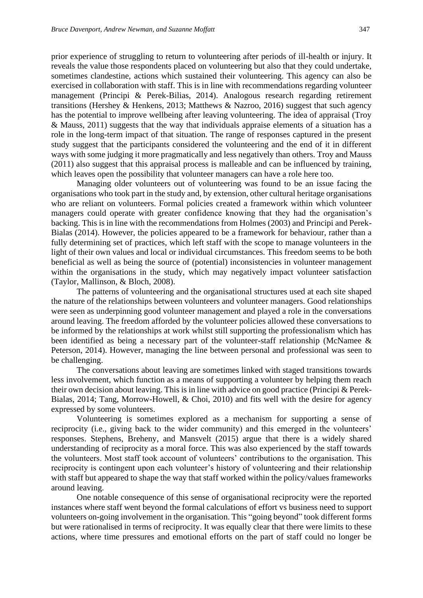prior experience of struggling to return to volunteering after periods of ill-health or injury. It reveals the value those respondents placed on volunteering but also that they could undertake, sometimes clandestine, actions which sustained their volunteering. This agency can also be exercised in collaboration with staff. This is in line with recommendations regarding volunteer management (Principi & Perek-Bilias, 2014). Analogous research regarding retirement transitions (Hershey & Henkens, 2013; Matthews & Nazroo, 2016) suggest that such agency has the potential to improve wellbeing after leaving volunteering. The idea of appraisal (Troy & Mauss, 2011) suggests that the way that individuals appraise elements of a situation has a role in the long-term impact of that situation. The range of responses captured in the present study suggest that the participants considered the volunteering and the end of it in different ways with some judging it more pragmatically and less negatively than others. Troy and Mauss (2011) also suggest that this appraisal process is malleable and can be influenced by training, which leaves open the possibility that volunteer managers can have a role here too.

Managing older volunteers out of volunteering was found to be an issue facing the organisations who took part in the study and, by extension, other cultural heritage organisations who are reliant on volunteers. Formal policies created a framework within which volunteer managers could operate with greater confidence knowing that they had the organisation's backing. This is in line with the recommendations from Holmes (2003) and Principi and Perek-Bialas (2014). However, the policies appeared to be a framework for behaviour, rather than a fully determining set of practices, which left staff with the scope to manage volunteers in the light of their own values and local or individual circumstances. This freedom seems to be both beneficial as well as being the source of (potential) inconsistencies in volunteer management within the organisations in the study, which may negatively impact volunteer satisfaction (Taylor, Mallinson, & Bloch, 2008).

The patterns of volunteering and the organisational structures used at each site shaped the nature of the relationships between volunteers and volunteer managers. Good relationships were seen as underpinning good volunteer management and played a role in the conversations around leaving. The freedom afforded by the volunteer policies allowed these conversations to be informed by the relationships at work whilst still supporting the professionalism which has been identified as being a necessary part of the volunteer-staff relationship (McNamee & Peterson, 2014). However, managing the line between personal and professional was seen to be challenging.

The conversations about leaving are sometimes linked with staged transitions towards less involvement, which function as a means of supporting a volunteer by helping them reach their own decision about leaving. This is in line with advice on good practice (Principi & Perek-Bialas, 2014; Tang, Morrow-Howell, & Choi, 2010) and fits well with the desire for agency expressed by some volunteers.

Volunteering is sometimes explored as a mechanism for supporting a sense of reciprocity (i.e., giving back to the wider community) and this emerged in the volunteers' responses. Stephens, Breheny, and Mansvelt (2015) argue that there is a widely shared understanding of reciprocity as a moral force. This was also experienced by the staff towards the volunteers. Most staff took account of volunteers' contributions to the organisation. This reciprocity is contingent upon each volunteer's history of volunteering and their relationship with staff but appeared to shape the way that staff worked within the policy/values frameworks around leaving.

One notable consequence of this sense of organisational reciprocity were the reported instances where staff went beyond the formal calculations of effort vs business need to support volunteers on-going involvement in the organisation. This "going beyond" took different forms but were rationalised in terms of reciprocity. It was equally clear that there were limits to these actions, where time pressures and emotional efforts on the part of staff could no longer be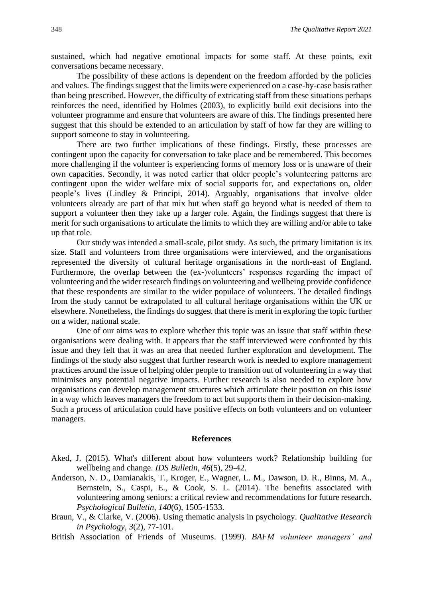sustained, which had negative emotional impacts for some staff. At these points, exit conversations became necessary.

The possibility of these actions is dependent on the freedom afforded by the policies and values. The findings suggest that the limits were experienced on a case-by-case basis rather than being prescribed. However, the difficulty of extricating staff from these situations perhaps reinforces the need, identified by Holmes (2003), to explicitly build exit decisions into the volunteer programme and ensure that volunteers are aware of this. The findings presented here suggest that this should be extended to an articulation by staff of how far they are willing to support someone to stay in volunteering.

There are two further implications of these findings. Firstly, these processes are contingent upon the capacity for conversation to take place and be remembered. This becomes more challenging if the volunteer is experiencing forms of memory loss or is unaware of their own capacities. Secondly, it was noted earlier that older people's volunteering patterns are contingent upon the wider welfare mix of social supports for, and expectations on, older people's lives (Lindley & Principi, 2014). Arguably, organisations that involve older volunteers already are part of that mix but when staff go beyond what is needed of them to support a volunteer then they take up a larger role. Again, the findings suggest that there is merit for such organisations to articulate the limits to which they are willing and/or able to take up that role.

Our study was intended a small-scale, pilot study. As such, the primary limitation is its size. Staff and volunteers from three organisations were interviewed, and the organisations represented the diversity of cultural heritage organisations in the north-east of England. Furthermore, the overlap between the (ex-)volunteers' responses regarding the impact of volunteering and the wider research findings on volunteering and wellbeing provide confidence that these respondents are similar to the wider populace of volunteers. The detailed findings from the study cannot be extrapolated to all cultural heritage organisations within the UK or elsewhere. Nonetheless, the findings do suggest that there is merit in exploring the topic further on a wider, national scale.

One of our aims was to explore whether this topic was an issue that staff within these organisations were dealing with. It appears that the staff interviewed were confronted by this issue and they felt that it was an area that needed further exploration and development. The findings of the study also suggest that further research work is needed to explore management practices around the issue of helping older people to transition out of volunteering in a way that minimises any potential negative impacts. Further research is also needed to explore how organisations can develop management structures which articulate their position on this issue in a way which leaves managers the freedom to act but supports them in their decision-making. Such a process of articulation could have positive effects on both volunteers and on volunteer managers.

#### **References**

- Aked, J. (2015). What's different about how volunteers work? Relationship building for wellbeing and change. *IDS Bulletin*, *46*(5), 29-42.
- Anderson, N. D., Damianakis, T., Kroger, E., Wagner, L. M., Dawson, D. R., Binns, M. A., Bernstein, S., Caspi, E., & Cook, S. L. (2014). The benefits associated with volunteering among seniors: a critical review and recommendations for future research. *Psychological Bulletin*, *140*(6), 1505-1533.
- Braun, V., & Clarke, V. (2006). Using thematic analysis in psychology*. Qualitative Research in Psychology, 3*(2), 77-101.
- British Association of Friends of Museums. (1999). *BAFM volunteer managers' and*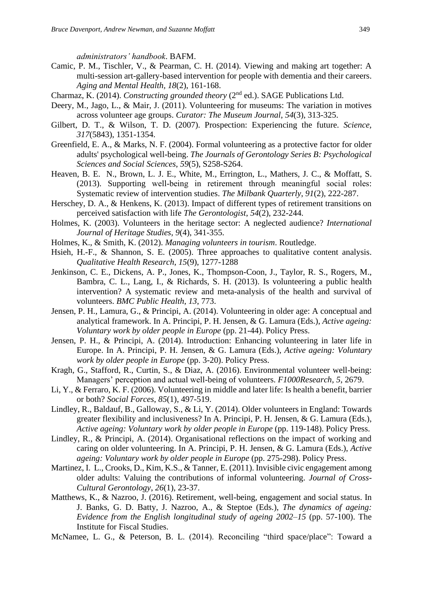*administrators' handbook*. BAFM.

- Camic, P. M., Tischler, V., & Pearman, C. H. (2014). Viewing and making art together: A multi-session art-gallery-based intervention for people with dementia and their careers. *Aging and Mental Health, 18*(2), 161-168.
- Charmaz, K. (2014). *Constructing grounded theory* (2nd ed.). SAGE Publications Ltd.
- Deery, M., Jago, L., & Mair, J. (2011). Volunteering for museums: The variation in motives across volunteer age groups. *Curator: The Museum Journal*, *54*(3), 313-325.
- Gilbert, D. T., & Wilson, T. D. (2007). Prospection: Experiencing the future. *Science, 317*(5843), 1351-1354.
- Greenfield, E. A., & Marks, N. F. (2004). Formal volunteering as a protective factor for older adults' psychological well-being. *The Journals of Gerontology Series B: Psychological Sciences and Social Sciences*, *59*(5), S258-S264.
- Heaven, B. E. N., Brown, L. J. E., White, M., Errington, L., Mathers, J. C., & Moffatt, S. (2013). Supporting well-being in retirement through meaningful social roles: Systematic review of intervention studies. *The Milbank Quarterly*, *91*(2), 222-287.
- Herschey, D. A., & Henkens, K. (2013). Impact of different types of retirement transitions on perceived satisfaction with life *The Gerontologist*, *54*(2), 232-244.
- Holmes, K. (2003). Volunteers in the heritage sector: A neglected audience? *International Journal of Heritage Studies*, *9*(4), 341-355.
- Holmes, K., & Smith, K. (2012). *Managing volunteers in tourism*. Routledge.
- Hsieh, H.-F., & Shannon, S. E. (2005). Three approaches to qualitative content analysis. *Qualitative Health Research*, *15*(9), 1277-1288
- Jenkinson, C. E., Dickens, A. P., Jones, K., Thompson-Coon, J., Taylor, R. S., Rogers, M., Bambra, C. L., Lang, I., & Richards, S. H. (2013). Is volunteering a public health intervention? A systematic review and meta-analysis of the health and survival of volunteers. *BMC Public Health*, *13*, 773.
- Jensen, P. H., Lamura, G., & Principi, A. (2014). Volunteering in older age: A conceptual and analytical framework. In A. Principi, P. H. Jensen, & G. Lamura (Eds.), *Active ageing: Voluntary work by older people in Europe* (pp. 21-44). Policy Press.
- Jensen, P. H., & Principi, A. (2014). Introduction: Enhancing volunteering in later life in Europe. In A. Principi, P. H. Jensen, & G. Lamura (Eds.), *Active ageing: Voluntary work by older people in Europe* (pp. 3-20). Policy Press.
- Kragh, G., Stafford, R., Curtin, S., & Diaz, A. (2016). Environmental volunteer well-being: Managers' perception and actual well-being of volunteers. *F1000Research*, *5*, 2679.
- Li, Y., & Ferraro, K. F. (2006). Volunteering in middle and later life: Is health a benefit, barrier or both? *Social Forces*, *85*(1), 497-519.
- Lindley, R., Baldauf, B., Galloway, S., & Li, Y. (2014). Older volunteers in England: Towards greater flexibility and inclusiveness? In A. Principi, P. H. Jensen, & G. Lamura (Eds.), *Active ageing: Voluntary work by older people in Europe* (pp. 119-148). Policy Press.
- Lindley, R., & Principi, A. (2014). Organisational reflections on the impact of working and caring on older volunteering. In A. Principi, P. H. Jensen, & G. Lamura (Eds.), *Active ageing: Voluntary work by older people in Europe* (pp. 275-298). Policy Press.
- Martinez, I. L., Crooks, D., Kim, K.S., & Tanner, E. (2011). Invisible civic engagement among older adults: Valuing the contributions of informal volunteering. *Journal of Cross-Cultural Gerontology*, *26*(1), 23-37.
- Matthews, K., & Nazroo, J. (2016). Retirement, well-being, engagement and social status. In J. Banks, G. D. Batty, J. Nazroo, A., & Steptoe (Eds.), *The dynamics of ageing: Evidence from the English longitudinal study of ageing 2002–15* (pp. 57-100). The Institute for Fiscal Studies.
- McNamee, L. G., & Peterson, B. L. (2014). Reconciling "third space/place": Toward a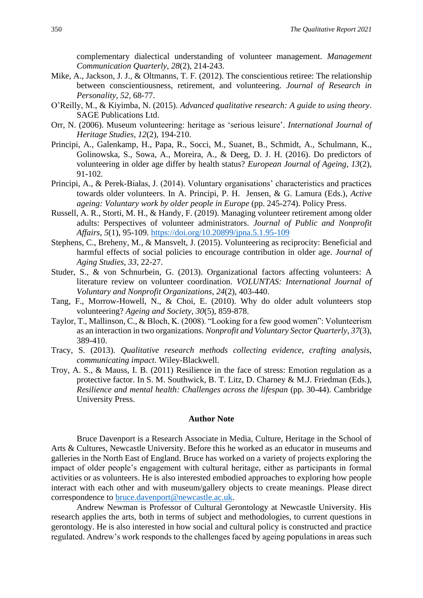complementary dialectical understanding of volunteer management. *Management Communication Quarterly*, *28*(2), 214-243.

- Mike, A., Jackson, J. J., & Oltmanns, T. F. (2012). The conscientious retiree: The relationship between conscientiousness, retirement, and volunteering. *Journal of Research in Personality*, *52*, 68-77.
- O'Reilly, M., & Kiyimba, N. (2015). *Advanced qualitative research: A guide to using theory*. SAGE Publications Ltd.
- Orr, N. (2006). Museum volunteering: heritage as 'serious leisure'. *International Journal of Heritage Studies*, *12*(2), 194-210.
- Principi, A., Galenkamp, H., Papa, R., Socci, M., Suanet, B., Schmidt, A., Schulmann, K., Golinowska, S., Sowa, A., Moreira, A., & Deeg, D. J. H. (2016). Do predictors of volunteering in older age differ by health status? *European Journal of Ageing*, *13*(2), 91-102.
- Principi, A., & Perek-Białas, J. (2014). Voluntary organisations' characteristics and practices towards older volunteers. In A. Principi, P. H. Jensen, & G. Lamura (Eds.), *Active ageing: Voluntary work by older people in Europe* (pp. 245-274). Policy Press.
- Russell, A. R., Storti, M. H., & Handy, F. (2019). Managing volunteer retirement among older adults: Perspectives of volunteer administrators. *Journal of Public and Nonprofit Affairs*, *5*(1), 95-109.<https://doi.org/10.20899/jpna.5.1.95-109>
- Stephens, C., Breheny, M., & Mansvelt, J. (2015). Volunteering as reciprocity: Beneficial and harmful effects of social policies to encourage contribution in older age. *Journal of Aging Studies*, *33*, 22-27.
- Studer, S., & von Schnurbein, G. (2013). Organizational factors affecting volunteers: A literature review on volunteer coordination. *VOLUNTAS: International Journal of Voluntary and Nonprofit Organizations*, *24*(2), 403-440.
- Tang, F., Morrow-Howell, N., & Choi, E. (2010). Why do older adult volunteers stop volunteering? *Ageing and Society*, *30*(5), 859-878.
- Taylor, T., Mallinson, C., & Bloch, K. (2008). "Looking for a few good women": Volunteerism as an interaction in two organizations. *Nonprofit and Voluntary Sector Quarterly*, *37*(3), 389-410.
- Tracy, S. (2013). *Qualitative research methods collecting evidence, crafting analysis, communicating impact*. Wiley-Blackwell.
- Troy, A. S., & Mauss, I. B. (2011) Resilience in the face of stress: Emotion regulation as a protective factor. In S. M. Southwick, B. T. Litz, D. Charney & M.J. Friedman (Eds.), *Resilience and mental health: Challenges across the lifespan* (pp. 30-44). Cambridge University Press.

#### **Author Note**

Bruce Davenport is a Research Associate in Media, Culture, Heritage in the School of Arts & Cultures, Newcastle University. Before this he worked as an educator in museums and galleries in the North East of England. Bruce has worked on a variety of projects exploring the impact of older people's engagement with cultural heritage, either as participants in formal activities or as volunteers. He is also interested embodied approaches to exploring how people interact with each other and with museum/gallery objects to create meanings. Please direct correspondence to [bruce.davenport@newcastle.ac.uk.](mailto:bruce.davenport@newcastle.ac.uk)

Andrew Newman is Professor of Cultural Gerontology at Newcastle University. His research applies the arts, both in terms of subject and methodologies, to current questions in gerontology. He is also interested in how social and cultural policy is constructed and practice regulated. Andrew's work responds to the challenges faced by ageing populations in areas such